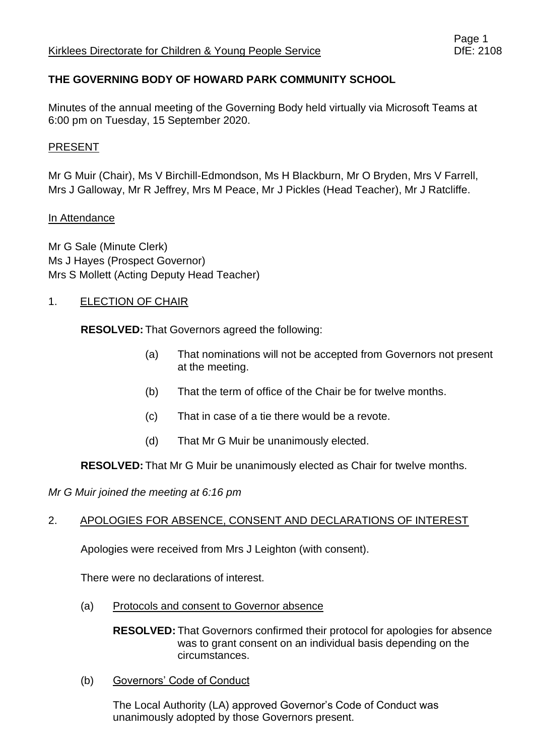# **THE GOVERNING BODY OF HOWARD PARK COMMUNITY SCHOOL**

Minutes of the annual meeting of the Governing Body held virtually via Microsoft Teams at 6:00 pm on Tuesday, 15 September 2020.

### PRESENT

Mr G Muir (Chair), Ms V Birchill-Edmondson, Ms H Blackburn, Mr O Bryden, Mrs V Farrell, Mrs J Galloway, Mr R Jeffrey, Mrs M Peace, Mr J Pickles (Head Teacher), Mr J Ratcliffe.

### In Attendance

Mr G Sale (Minute Clerk) Ms J Hayes (Prospect Governor) Mrs S Mollett (Acting Deputy Head Teacher)

### 1. **ELECTION OF CHAIR**

**RESOLVED:** That Governors agreed the following:

- (a) That nominations will not be accepted from Governors not present at the meeting.
- (b) That the term of office of the Chair be for twelve months.
- (c) That in case of a tie there would be a revote.
- (d) That Mr G Muir be unanimously elected.

**RESOLVED:** That Mr G Muir be unanimously elected as Chair for twelve months.

*Mr G Muir joined the meeting at 6:16 pm*

### 2. APOLOGIES FOR ABSENCE, CONSENT AND DECLARATIONS OF INTEREST

Apologies were received from Mrs J Leighton (with consent).

There were no declarations of interest.

(a) Protocols and consent to Governor absence

**RESOLVED:** That Governors confirmed their protocol for apologies for absence was to grant consent on an individual basis depending on the circumstances.

(b) Governors' Code of Conduct

The Local Authority (LA) approved Governor's Code of Conduct was unanimously adopted by those Governors present.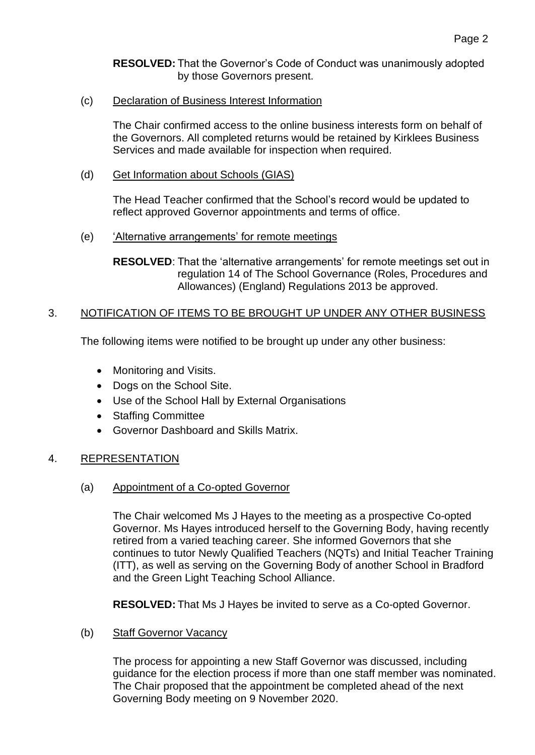**RESOLVED:** That the Governor's Code of Conduct was unanimously adopted by those Governors present.

(c) Declaration of Business Interest Information

The Chair confirmed access to the online business interests form on behalf of the Governors. All completed returns would be retained by Kirklees Business Services and made available for inspection when required.

(d) Get Information about Schools (GIAS)

The Head Teacher confirmed that the School's record would be updated to reflect approved Governor appointments and terms of office.

(e) 'Alternative arrangements' for remote meetings

**RESOLVED**: That the 'alternative arrangements' for remote meetings set out in regulation 14 of The School Governance (Roles, Procedures and Allowances) (England) Regulations 2013 be approved.

### 3. NOTIFICATION OF ITEMS TO BE BROUGHT UP UNDER ANY OTHER BUSINESS

The following items were notified to be brought up under any other business:

- Monitoring and Visits.
- Dogs on the School Site.
- Use of the School Hall by External Organisations
- Staffing Committee
- Governor Dashboard and Skills Matrix.

### 4. REPRESENTATION

(a) Appointment of a Co-opted Governor

The Chair welcomed Ms J Hayes to the meeting as a prospective Co-opted Governor. Ms Hayes introduced herself to the Governing Body, having recently retired from a varied teaching career. She informed Governors that she continues to tutor Newly Qualified Teachers (NQTs) and Initial Teacher Training (ITT), as well as serving on the Governing Body of another School in Bradford and the Green Light Teaching School Alliance.

**RESOLVED:** That Ms J Hayes be invited to serve as a Co-opted Governor.

(b) Staff Governor Vacancy

The process for appointing a new Staff Governor was discussed, including guidance for the election process if more than one staff member was nominated. The Chair proposed that the appointment be completed ahead of the next Governing Body meeting on 9 November 2020.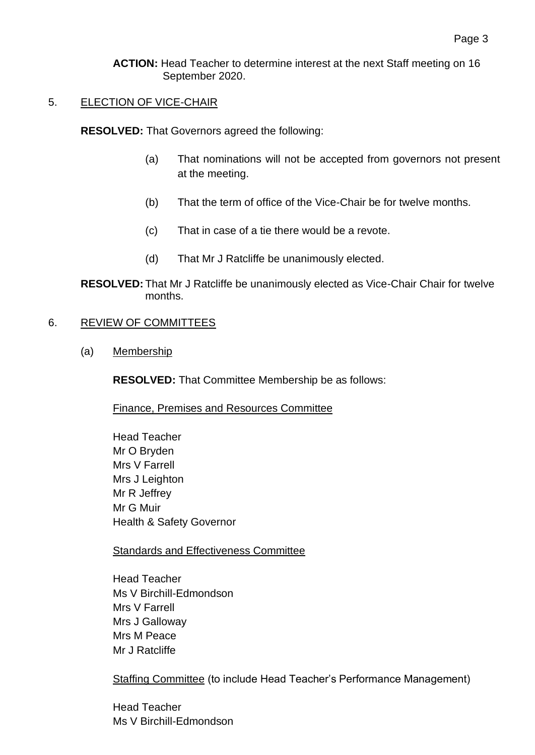#### **ACTION:** Head Teacher to determine interest at the next Staff meeting on 16 September 2020.

# 5. ELECTION OF VICE-CHAIR

**RESOLVED:** That Governors agreed the following:

- (a) That nominations will not be accepted from governors not present at the meeting.
- (b) That the term of office of the Vice-Chair be for twelve months.
- (c) That in case of a tie there would be a revote.
- (d) That Mr J Ratcliffe be unanimously elected.

**RESOLVED:** That Mr J Ratcliffe be unanimously elected as Vice-Chair Chair for twelve months.

### 6. REVIEW OF COMMITTEES

(a) Membership

**RESOLVED:** That Committee Membership be as follows:

Finance, Premises and Resources Committee

Head Teacher Mr O Bryden Mrs V Farrell Mrs J Leighton Mr R Jeffrey Mr G Muir Health & Safety Governor

Standards and Effectiveness Committee

Head Teacher Ms V Birchill-Edmondson Mrs V Farrell Mrs J Galloway Mrs M Peace Mr J Ratcliffe

Staffing Committee (to include Head Teacher's Performance Management)

Head Teacher Ms V Birchill-Edmondson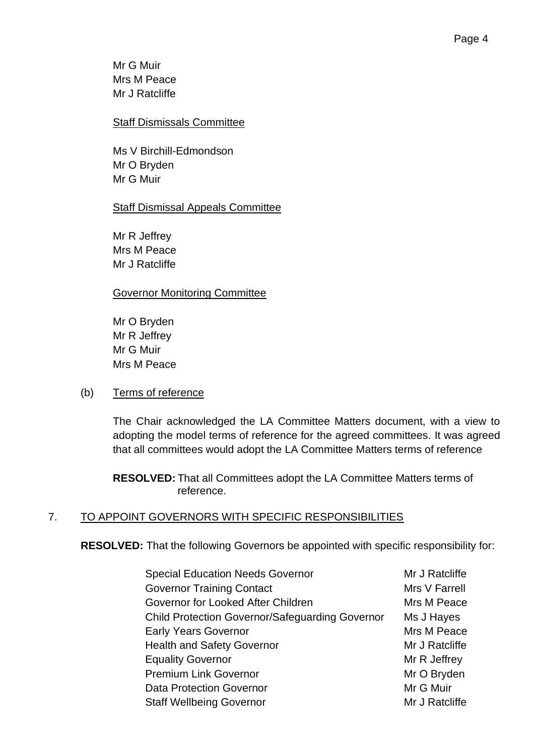### Staff Dismissals Committee

Ms V Birchill-Edmondson Mr O Bryden Mr G Muir

# Staff Dismissal Appeals Committee

Mr R Jeffrey Mrs M Peace Mr J Ratcliffe

## Governor Monitoring Committee

Mr O Bryden Mr R Jeffrey Mr G Muir Mrs M Peace

### (b) Terms of reference

The Chair acknowledged the LA Committee Matters document, with a view to adopting the model terms of reference for the agreed committees. It was agreed that all committees would adopt the LA Committee Matters terms of reference

**RESOLVED:** That all Committees adopt the LA Committee Matters terms of reference.

# 7. TO APPOINT GOVERNORS WITH SPECIFIC RESPONSIBILITIES

**RESOLVED:** That the following Governors be appointed with specific responsibility for:

| <b>Special Education Needs Governor</b>                | Mr J Ratcliffe |
|--------------------------------------------------------|----------------|
| <b>Governor Training Contact</b>                       | Mrs V Farrell  |
| Governor for Looked After Children                     | Mrs M Peace    |
| <b>Child Protection Governor/Safeguarding Governor</b> | Ms J Hayes     |
| <b>Early Years Governor</b>                            | Mrs M Peace    |
| <b>Health and Safety Governor</b>                      | Mr J Ratcliffe |
| <b>Equality Governor</b>                               | Mr R Jeffrey   |
| <b>Premium Link Governor</b>                           | Mr O Bryden    |
| Data Protection Governor                               | Mr G Muir      |
| <b>Staff Wellbeing Governor</b>                        | Mr J Ratcliffe |
|                                                        |                |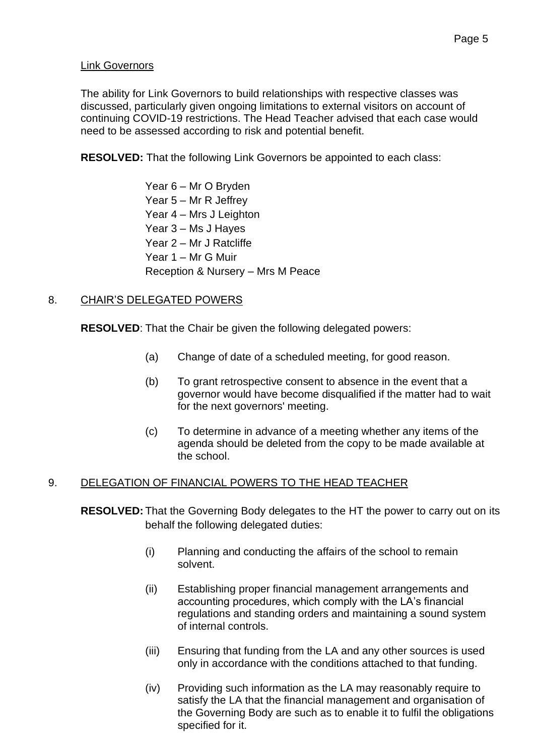#### Link Governors

The ability for Link Governors to build relationships with respective classes was discussed, particularly given ongoing limitations to external visitors on account of continuing COVID-19 restrictions. The Head Teacher advised that each case would need to be assessed according to risk and potential benefit.

**RESOLVED:** That the following Link Governors be appointed to each class:

Year 6 – Mr O Bryden Year 5 – Mr R Jeffrey Year 4 – Mrs J Leighton Year 3 – Ms J Hayes Year 2 – Mr J Ratcliffe Year 1 – Mr G Muir Reception & Nursery – Mrs M Peace

### 8. CHAIR'S DELEGATED POWERS

**RESOLVED**: That the Chair be given the following delegated powers:

- (a) Change of date of a scheduled meeting, for good reason.
- (b) To grant retrospective consent to absence in the event that a governor would have become disqualified if the matter had to wait for the next governors' meeting.
- (c) To determine in advance of a meeting whether any items of the agenda should be deleted from the copy to be made available at the school.

# 9. DELEGATION OF FINANCIAL POWERS TO THE HEAD TEACHER

**RESOLVED:** That the Governing Body delegates to the HT the power to carry out on its behalf the following delegated duties:

- (i) Planning and conducting the affairs of the school to remain solvent.
- (ii) Establishing proper financial management arrangements and accounting procedures, which comply with the LA's financial regulations and standing orders and maintaining a sound system of internal controls.
- (iii) Ensuring that funding from the LA and any other sources is used only in accordance with the conditions attached to that funding.
- (iv) Providing such information as the LA may reasonably require to satisfy the LA that the financial management and organisation of the Governing Body are such as to enable it to fulfil the obligations specified for it.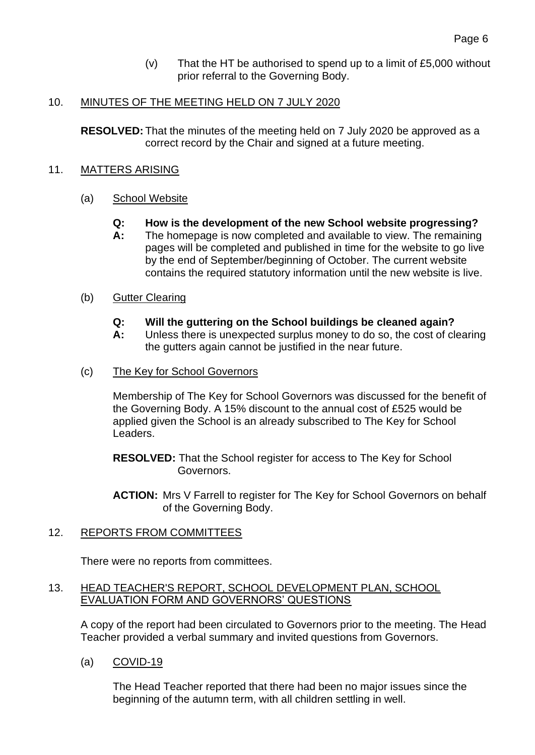(v) That the HT be authorised to spend up to a limit of  $£5,000$  without prior referral to the Governing Body.

### 10. MINUTES OF THE MEETING HELD ON 7 JULY 2020

**RESOLVED:** That the minutes of the meeting held on 7 July 2020 be approved as a correct record by the Chair and signed at a future meeting.

#### 11. MATTERS ARISING

#### (a) School Website

- **Q: How is the development of the new School website progressing?**
- **A:** The homepage is now completed and available to view. The remaining pages will be completed and published in time for the website to go live by the end of September/beginning of October. The current website contains the required statutory information until the new website is live.

#### (b) Gutter Clearing

- **Q: Will the guttering on the School buildings be cleaned again?**
- **A:** Unless there is unexpected surplus money to do so, the cost of clearing the gutters again cannot be justified in the near future.
- (c) The Key for School Governors

Membership of The Key for School Governors was discussed for the benefit of the Governing Body. A 15% discount to the annual cost of £525 would be applied given the School is an already subscribed to The Key for School Leaders.

**RESOLVED:** That the School register for access to The Key for School Governors.

**ACTION:** Mrs V Farrell to register for The Key for School Governors on behalf of the Governing Body.

### 12. REPORTS FROM COMMITTEES

There were no reports from committees.

#### 13. HEAD TEACHER'S REPORT, SCHOOL DEVELOPMENT PLAN, SCHOOL EVALUATION FORM AND GOVERNORS' QUESTIONS

A copy of the report had been circulated to Governors prior to the meeting. The Head Teacher provided a verbal summary and invited questions from Governors.

(a) COVID-19

The Head Teacher reported that there had been no major issues since the beginning of the autumn term, with all children settling in well.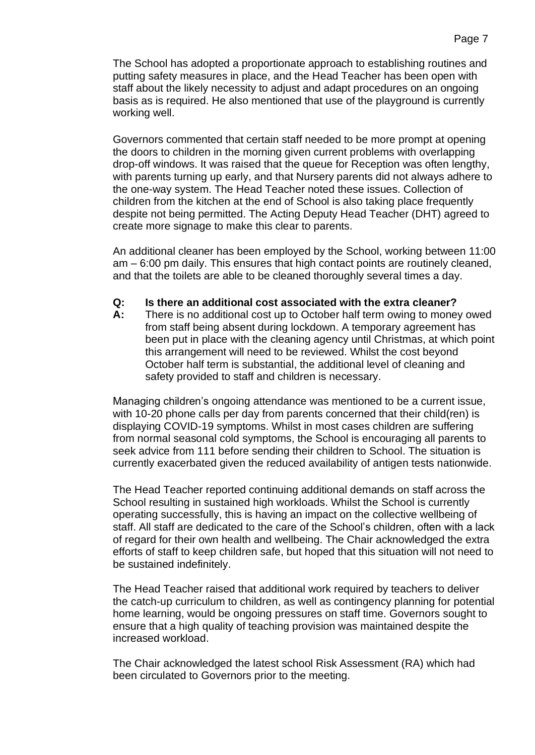The School has adopted a proportionate approach to establishing routines and putting safety measures in place, and the Head Teacher has been open with staff about the likely necessity to adjust and adapt procedures on an ongoing basis as is required. He also mentioned that use of the playground is currently working well.

Governors commented that certain staff needed to be more prompt at opening the doors to children in the morning given current problems with overlapping drop-off windows. It was raised that the queue for Reception was often lengthy, with parents turning up early, and that Nursery parents did not always adhere to the one-way system. The Head Teacher noted these issues. Collection of children from the kitchen at the end of School is also taking place frequently despite not being permitted. The Acting Deputy Head Teacher (DHT) agreed to create more signage to make this clear to parents.

An additional cleaner has been employed by the School, working between 11:00 am – 6:00 pm daily. This ensures that high contact points are routinely cleaned, and that the toilets are able to be cleaned thoroughly several times a day.

### **Q: Is there an additional cost associated with the extra cleaner?**

**A:** There is no additional cost up to October half term owing to money owed from staff being absent during lockdown. A temporary agreement has been put in place with the cleaning agency until Christmas, at which point this arrangement will need to be reviewed. Whilst the cost beyond October half term is substantial, the additional level of cleaning and safety provided to staff and children is necessary.

Managing children's ongoing attendance was mentioned to be a current issue, with 10-20 phone calls per day from parents concerned that their child(ren) is displaying COVID-19 symptoms. Whilst in most cases children are suffering from normal seasonal cold symptoms, the School is encouraging all parents to seek advice from 111 before sending their children to School. The situation is currently exacerbated given the reduced availability of antigen tests nationwide.

The Head Teacher reported continuing additional demands on staff across the School resulting in sustained high workloads. Whilst the School is currently operating successfully, this is having an impact on the collective wellbeing of staff. All staff are dedicated to the care of the School's children, often with a lack of regard for their own health and wellbeing. The Chair acknowledged the extra efforts of staff to keep children safe, but hoped that this situation will not need to be sustained indefinitely.

The Head Teacher raised that additional work required by teachers to deliver the catch-up curriculum to children, as well as contingency planning for potential home learning, would be ongoing pressures on staff time. Governors sought to ensure that a high quality of teaching provision was maintained despite the increased workload.

The Chair acknowledged the latest school Risk Assessment (RA) which had been circulated to Governors prior to the meeting.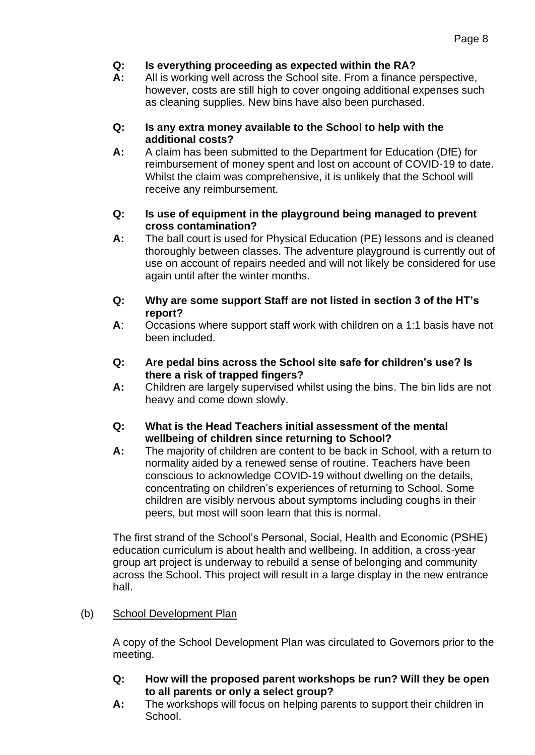# **Q: Is everything proceeding as expected within the RA?**

**A:** All is working well across the School site. From a finance perspective, however, costs are still high to cover ongoing additional expenses such as cleaning supplies. New bins have also been purchased.

### **Q: Is any extra money available to the School to help with the additional costs?**

**A:** A claim has been submitted to the Department for Education (DfE) for reimbursement of money spent and lost on account of COVID-19 to date. Whilst the claim was comprehensive, it is unlikely that the School will receive any reimbursement.

### **Q: Is use of equipment in the playground being managed to prevent cross contamination?**

- **A:** The ball court is used for Physical Education (PE) lessons and is cleaned thoroughly between classes. The adventure playground is currently out of use on account of repairs needed and will not likely be considered for use again until after the winter months.
- **Q: Why are some support Staff are not listed in section 3 of the HT's report?**
- **A**: Occasions where support staff work with children on a 1:1 basis have not been included.
- **Q: Are pedal bins across the School site safe for children's use? Is there a risk of trapped fingers?**
- **A:** Children are largely supervised whilst using the bins. The bin lids are not heavy and come down slowly.
- **Q: What is the Head Teachers initial assessment of the mental wellbeing of children since returning to School?**
- **A:** The majority of children are content to be back in School, with a return to normality aided by a renewed sense of routine. Teachers have been conscious to acknowledge COVID-19 without dwelling on the details, concentrating on children's experiences of returning to School. Some children are visibly nervous about symptoms including coughs in their peers, but most will soon learn that this is normal.

The first strand of the School's Personal, Social, Health and Economic (PSHE) education curriculum is about health and wellbeing. In addition, a cross-year group art project is underway to rebuild a sense of belonging and community across the School. This project will result in a large display in the new entrance hall.

# (b) School Development Plan

A copy of the School Development Plan was circulated to Governors prior to the meeting.

- **Q: How will the proposed parent workshops be run? Will they be open to all parents or only a select group?**
- **A:** The workshops will focus on helping parents to support their children in School.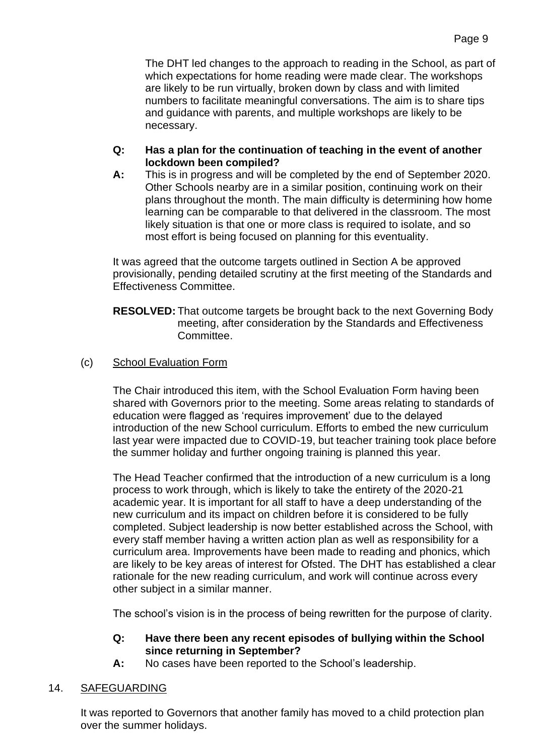The DHT led changes to the approach to reading in the School, as part of which expectations for home reading were made clear. The workshops are likely to be run virtually, broken down by class and with limited numbers to facilitate meaningful conversations. The aim is to share tips and guidance with parents, and multiple workshops are likely to be necessary.

### **Q: Has a plan for the continuation of teaching in the event of another lockdown been compiled?**

**A:** This is in progress and will be completed by the end of September 2020. Other Schools nearby are in a similar position, continuing work on their plans throughout the month. The main difficulty is determining how home learning can be comparable to that delivered in the classroom. The most likely situation is that one or more class is required to isolate, and so most effort is being focused on planning for this eventuality.

It was agreed that the outcome targets outlined in Section A be approved provisionally, pending detailed scrutiny at the first meeting of the Standards and Effectiveness Committee.

**RESOLVED:** That outcome targets be brought back to the next Governing Body meeting, after consideration by the Standards and Effectiveness Committee.

## (c) School Evaluation Form

The Chair introduced this item, with the School Evaluation Form having been shared with Governors prior to the meeting. Some areas relating to standards of education were flagged as 'requires improvement' due to the delayed introduction of the new School curriculum. Efforts to embed the new curriculum last year were impacted due to COVID-19, but teacher training took place before the summer holiday and further ongoing training is planned this year.

The Head Teacher confirmed that the introduction of a new curriculum is a long process to work through, which is likely to take the entirety of the 2020-21 academic year. It is important for all staff to have a deep understanding of the new curriculum and its impact on children before it is considered to be fully completed. Subject leadership is now better established across the School, with every staff member having a written action plan as well as responsibility for a curriculum area. Improvements have been made to reading and phonics, which are likely to be key areas of interest for Ofsted. The DHT has established a clear rationale for the new reading curriculum, and work will continue across every other subject in a similar manner.

The school's vision is in the process of being rewritten for the purpose of clarity.

## **Q: Have there been any recent episodes of bullying within the School since returning in September?**

**A:** No cases have been reported to the School's leadership.

# 14. SAFEGUARDING

It was reported to Governors that another family has moved to a child protection plan over the summer holidays.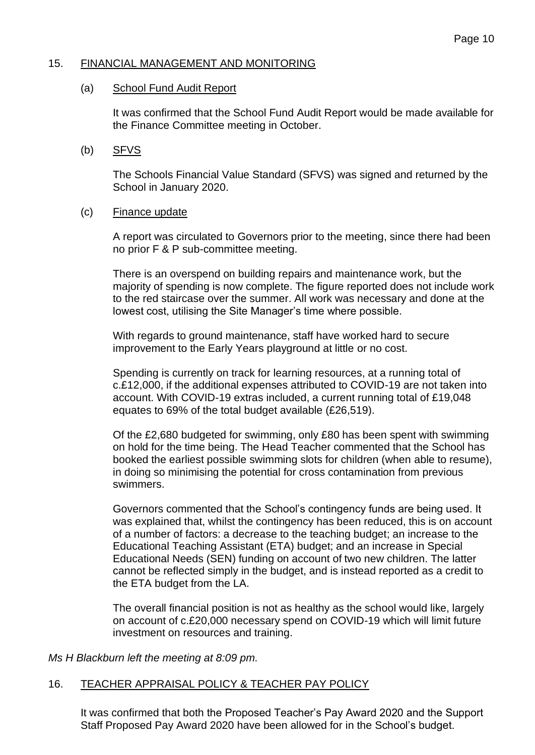#### 15. FINANCIAL MANAGEMENT AND MONITORING

#### (a) School Fund Audit Report

It was confirmed that the School Fund Audit Report would be made available for the Finance Committee meeting in October.

#### (b) SFVS

The Schools Financial Value Standard (SFVS) was signed and returned by the School in January 2020.

#### (c) Finance update

A report was circulated to Governors prior to the meeting, since there had been no prior F & P sub-committee meeting.

There is an overspend on building repairs and maintenance work, but the majority of spending is now complete. The figure reported does not include work to the red staircase over the summer. All work was necessary and done at the lowest cost, utilising the Site Manager's time where possible.

With regards to ground maintenance, staff have worked hard to secure improvement to the Early Years playground at little or no cost.

Spending is currently on track for learning resources, at a running total of c.£12,000, if the additional expenses attributed to COVID-19 are not taken into account. With COVID-19 extras included, a current running total of £19,048 equates to 69% of the total budget available (£26,519).

Of the £2,680 budgeted for swimming, only £80 has been spent with swimming on hold for the time being. The Head Teacher commented that the School has booked the earliest possible swimming slots for children (when able to resume), in doing so minimising the potential for cross contamination from previous swimmers.

Governors commented that the School's contingency funds are being used. It was explained that, whilst the contingency has been reduced, this is on account of a number of factors: a decrease to the teaching budget; an increase to the Educational Teaching Assistant (ETA) budget; and an increase in Special Educational Needs (SEN) funding on account of two new children. The latter cannot be reflected simply in the budget, and is instead reported as a credit to the ETA budget from the LA.

The overall financial position is not as healthy as the school would like, largely on account of c.£20,000 necessary spend on COVID-19 which will limit future investment on resources and training.

*Ms H Blackburn left the meeting at 8:09 pm.*

# 16. TEACHER APPRAISAL POLICY & TEACHER PAY POLICY

It was confirmed that both the Proposed Teacher's Pay Award 2020 and the Support Staff Proposed Pay Award 2020 have been allowed for in the School's budget.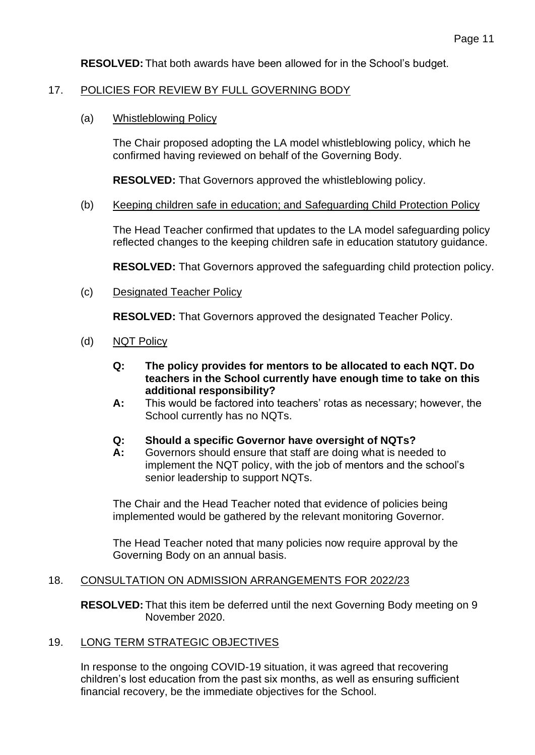**RESOLVED:** That both awards have been allowed for in the School's budget.

### 17. POLICIES FOR REVIEW BY FULL GOVERNING BODY

(a) Whistleblowing Policy

The Chair proposed adopting the LA model whistleblowing policy, which he confirmed having reviewed on behalf of the Governing Body.

**RESOLVED:** That Governors approved the whistleblowing policy.

#### (b) Keeping children safe in education; and Safeguarding Child Protection Policy

The Head Teacher confirmed that updates to the LA model safeguarding policy reflected changes to the keeping children safe in education statutory guidance.

**RESOLVED:** That Governors approved the safeguarding child protection policy.

(c) Designated Teacher Policy

**RESOLVED:** That Governors approved the designated Teacher Policy.

- (d) NQT Policy
	- **Q: The policy provides for mentors to be allocated to each NQT. Do teachers in the School currently have enough time to take on this additional responsibility?**
	- **A:** This would be factored into teachers' rotas as necessary; however, the School currently has no NQTs.

#### **Q: Should a specific Governor have oversight of NQTs?**

**A:** Governors should ensure that staff are doing what is needed to implement the NQT policy, with the job of mentors and the school's senior leadership to support NQTs.

The Chair and the Head Teacher noted that evidence of policies being implemented would be gathered by the relevant monitoring Governor.

The Head Teacher noted that many policies now require approval by the Governing Body on an annual basis.

#### 18. CONSULTATION ON ADMISSION ARRANGEMENTS FOR 2022/23

**RESOLVED:** That this item be deferred until the next Governing Body meeting on 9 November 2020.

### 19. LONG TERM STRATEGIC OBJECTIVES

In response to the ongoing COVID-19 situation, it was agreed that recovering children's lost education from the past six months, as well as ensuring sufficient financial recovery, be the immediate objectives for the School.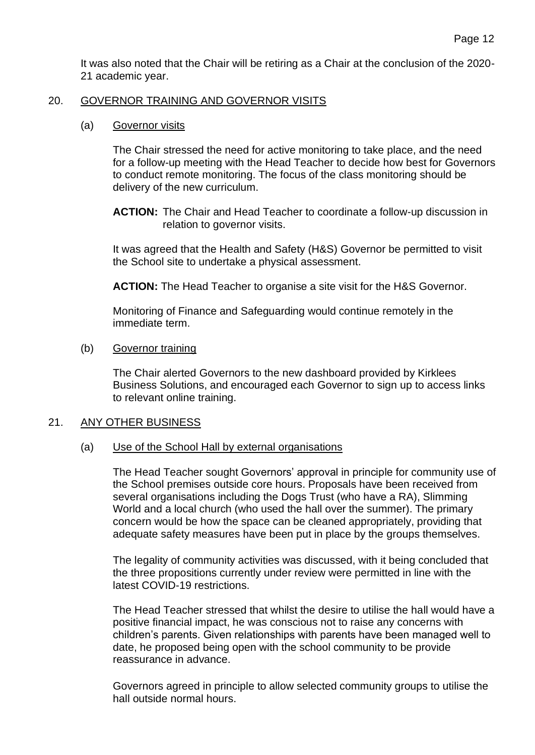It was also noted that the Chair will be retiring as a Chair at the conclusion of the 2020- 21 academic year.

#### 20. GOVERNOR TRAINING AND GOVERNOR VISITS

#### (a) Governor visits

The Chair stressed the need for active monitoring to take place, and the need for a follow-up meeting with the Head Teacher to decide how best for Governors to conduct remote monitoring. The focus of the class monitoring should be delivery of the new curriculum.

**ACTION:** The Chair and Head Teacher to coordinate a follow-up discussion in relation to governor visits.

It was agreed that the Health and Safety (H&S) Governor be permitted to visit the School site to undertake a physical assessment.

**ACTION:** The Head Teacher to organise a site visit for the H&S Governor.

Monitoring of Finance and Safeguarding would continue remotely in the immediate term.

#### (b) Governor training

The Chair alerted Governors to the new dashboard provided by Kirklees Business Solutions, and encouraged each Governor to sign up to access links to relevant online training.

#### 21. ANY OTHER BUSINESS

#### (a) Use of the School Hall by external organisations

The Head Teacher sought Governors' approval in principle for community use of the School premises outside core hours. Proposals have been received from several organisations including the Dogs Trust (who have a RA), Slimming World and a local church (who used the hall over the summer). The primary concern would be how the space can be cleaned appropriately, providing that adequate safety measures have been put in place by the groups themselves.

The legality of community activities was discussed, with it being concluded that the three propositions currently under review were permitted in line with the latest COVID-19 restrictions.

The Head Teacher stressed that whilst the desire to utilise the hall would have a positive financial impact, he was conscious not to raise any concerns with children's parents. Given relationships with parents have been managed well to date, he proposed being open with the school community to be provide reassurance in advance.

Governors agreed in principle to allow selected community groups to utilise the hall outside normal hours.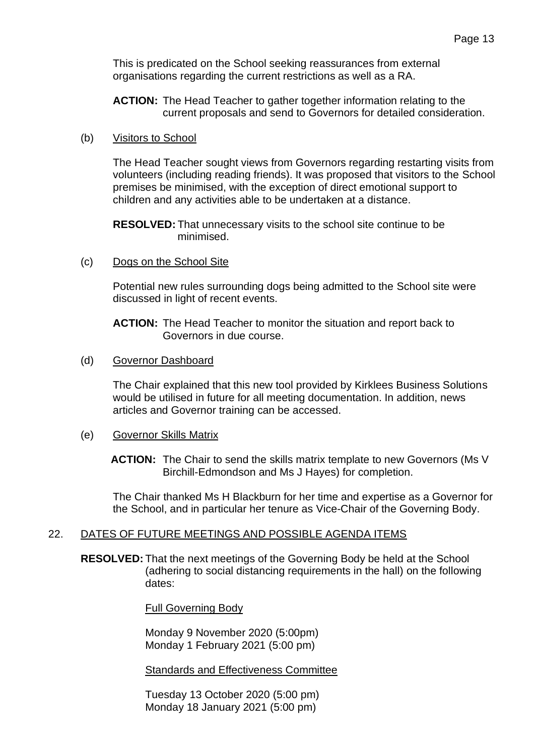This is predicated on the School seeking reassurances from external organisations regarding the current restrictions as well as a RA.

**ACTION:** The Head Teacher to gather together information relating to the current proposals and send to Governors for detailed consideration.

(b) Visitors to School

The Head Teacher sought views from Governors regarding restarting visits from volunteers (including reading friends). It was proposed that visitors to the School premises be minimised, with the exception of direct emotional support to children and any activities able to be undertaken at a distance.

**RESOLVED:** That unnecessary visits to the school site continue to be minimised.

(c) Dogs on the School Site

Potential new rules surrounding dogs being admitted to the School site were discussed in light of recent events.

**ACTION:** The Head Teacher to monitor the situation and report back to Governors in due course.

(d) Governor Dashboard

The Chair explained that this new tool provided by Kirklees Business Solutions would be utilised in future for all meeting documentation. In addition, news articles and Governor training can be accessed.

(e) Governor Skills Matrix

**ACTION:** The Chair to send the skills matrix template to new Governors (Ms V Birchill-Edmondson and Ms J Hayes) for completion.

The Chair thanked Ms H Blackburn for her time and expertise as a Governor for the School, and in particular her tenure as Vice-Chair of the Governing Body.

### 22. DATES OF FUTURE MEETINGS AND POSSIBLE AGENDA ITEMS

**RESOLVED:** That the next meetings of the Governing Body be held at the School (adhering to social distancing requirements in the hall) on the following dates:

Full Governing Body

Monday 9 November 2020 (5:00pm) Monday 1 February 2021 (5:00 pm)

Standards and Effectiveness Committee

Tuesday 13 October 2020 (5:00 pm) Monday 18 January 2021 (5:00 pm)